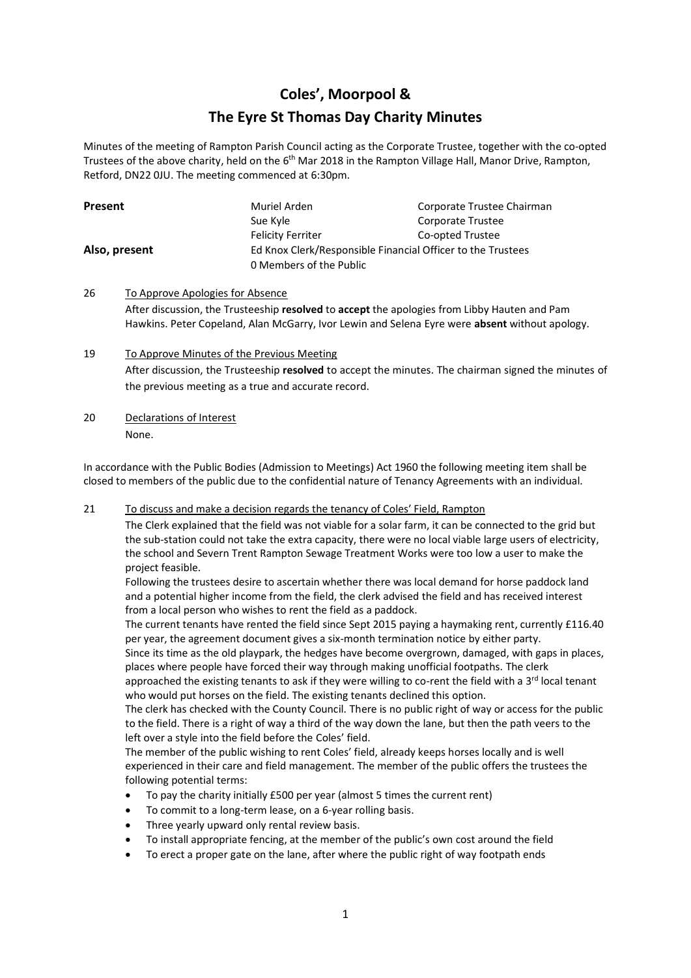## **Coles', Moorpool & The Eyre St Thomas Day Charity Minutes**

Minutes of the meeting of Rampton Parish Council acting as the Corporate Trustee, together with the co-opted Trustees of the above charity, held on the 6<sup>th</sup> Mar 2018 in the Rampton Village Hall, Manor Drive, Rampton, Retford, DN22 0JU. The meeting commenced at 6:30pm.

| <b>Present</b> | Muriel Arden                                                | Corporate Trustee Chairman |
|----------------|-------------------------------------------------------------|----------------------------|
|                | Sue Kyle                                                    | Corporate Trustee          |
|                | <b>Felicity Ferriter</b>                                    | Co-opted Trustee           |
| Also, present  | Ed Knox Clerk/Responsible Financial Officer to the Trustees |                            |
|                | 0 Members of the Public                                     |                            |

- 26 To Approve Apologies for Absence After discussion, the Trusteeship **resolved** to **accept** the apologies from Libby Hauten and Pam Hawkins. Peter Copeland, Alan McGarry, Ivor Lewin and Selena Eyre were **absent** without apology.
- 19 To Approve Minutes of the Previous Meeting After discussion, the Trusteeship **resolved** to accept the minutes. The chairman signed the minutes of the previous meeting as a true and accurate record.
- 20 Declarations of Interest None.

In accordance with the Public Bodies (Admission to Meetings) Act 1960 the following meeting item shall be closed to members of the public due to the confidential nature of Tenancy Agreements with an individual.

21 To discuss and make a decision regards the tenancy of Coles' Field, Rampton

The Clerk explained that the field was not viable for a solar farm, it can be connected to the grid but the sub-station could not take the extra capacity, there were no local viable large users of electricity, the school and Severn Trent Rampton Sewage Treatment Works were too low a user to make the project feasible.

Following the trustees desire to ascertain whether there was local demand for horse paddock land and a potential higher income from the field, the clerk advised the field and has received interest from a local person who wishes to rent the field as a paddock.

The current tenants have rented the field since Sept 2015 paying a haymaking rent, currently £116.40 per year, the agreement document gives a six-month termination notice by either party.

Since its time as the old playpark, the hedges have become overgrown, damaged, with gaps in places, places where people have forced their way through making unofficial footpaths. The clerk

approached the existing tenants to ask if they were willing to co-rent the field with a 3<sup>rd</sup> local tenant who would put horses on the field. The existing tenants declined this option.

The clerk has checked with the County Council. There is no public right of way or access for the public to the field. There is a right of way a third of the way down the lane, but then the path veers to the left over a style into the field before the Coles' field.

The member of the public wishing to rent Coles' field, already keeps horses locally and is well experienced in their care and field management. The member of the public offers the trustees the following potential terms:

- To pay the charity initially £500 per year (almost 5 times the current rent)
- To commit to a long-term lease, on a 6-year rolling basis.
- Three yearly upward only rental review basis.
- To install appropriate fencing, at the member of the public's own cost around the field
- To erect a proper gate on the lane, after where the public right of way footpath ends